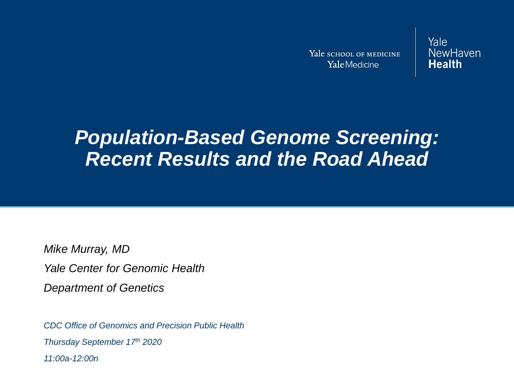Yale SCHOOL OF MEDICINE Yale Medicine

Yale NewHaven **Health** 

## *Population-Based Genome Screening: Recent Results and the Road Ahead*

*Mike Murray, MD Yale Center for Genomic Health Department of Genetics*

*CDC Office of Genomics and Precision Public Health Thursday September 17th 2020 11:00a-12:00n*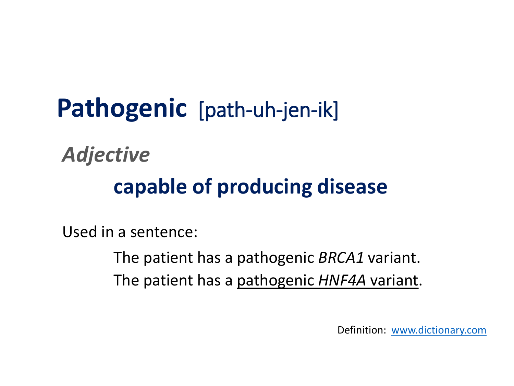**Pathogenic** [path-uh-jen-ik] *Adjective* **capable of producing disease**

Used in a sentence:

The patient has a pathogenic *BRCA1* variant. The patient has a pathogenic *HNF4A* variant.

Definition: [www.dictionary.com](http://www.dictionary.com/)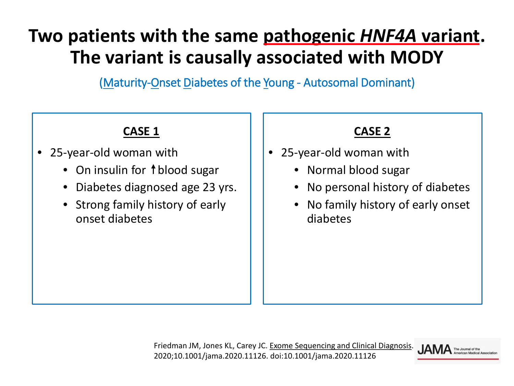## **Two patients with the same pathogenic** *HNF4A* **variant. The variant is causally associated with MODY**

(Maturity-Onset Diabetes of the Young - Autosomal Dominant)

### **CASE 1**

- 25-year-old woman with
	- On insulin for  $\dagger$  blood sugar
	- Diabetes diagnosed age 23 yrs.
	- Strong family history of early onset diabetes

#### **CASE 2**

- 25-year-old woman with
	- Normal blood sugar
	- No personal history of diabetes
	- No family history of early onset diabetes

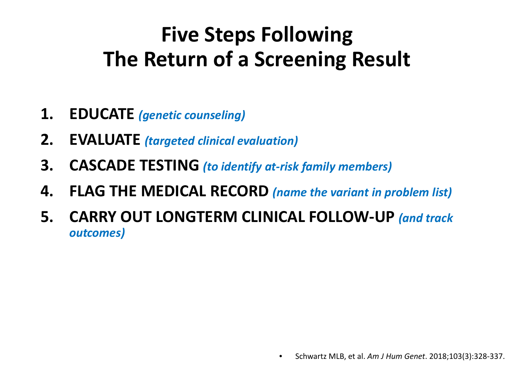# **Five Steps Following The Return of a Screening Result**

- **1. EDUCATE** *(genetic counseling)*
- **2. EVALUATE** *(targeted clinical evaluation)*
- **3. CASCADE TESTING** *(to identify at-risk family members)*
- **4. FLAG THE MEDICAL RECORD** *(name the variant in problem list)*
- **5. CARRY OUT LONGTERM CLINICAL FOLLOW-UP** *(and track outcomes)*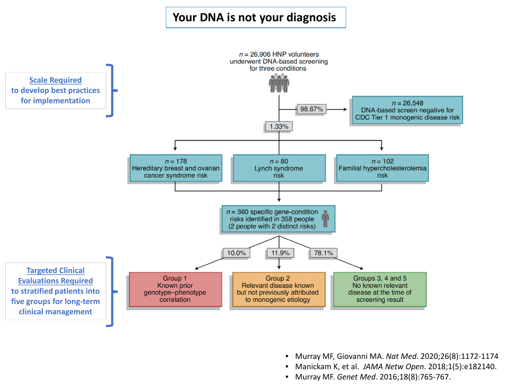#### **Your DNA is not your diagnosis**



- Murray MF, Giovanni MA. *Nat Med*. 2020;26(8):1172-1174
- Manickam K, et al. *JAMA Netw Open*. 2018;1(5):e182140.
- Murray MF. *Genet Med*. 2016;18(8):765-767.